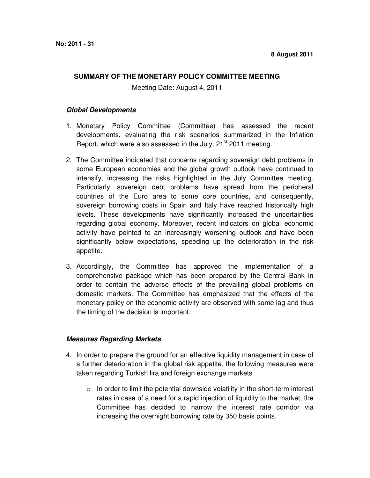## **SUMMARY OF THE MONETARY POLICY COMMITTEE MEETING**

Meeting Date: August 4, 2011

## **Global Developments**

- 1. Monetary Policy Committee (Committee) has assessed the recent developments, evaluating the risk scenarios summarized in the Inflation Report, which were also assessed in the July, 21<sup>st</sup> 2011 meeting.
- 2. The Committee indicated that concerns regarding sovereign debt problems in some European economies and the global growth outlook have continued to intensify, increasing the risks highlighted in the July Committee meeting. Particularly, sovereign debt problems have spread from the peripheral countries of the Euro area to some core countries, and consequently, sovereign borrowing costs in Spain and Italy have reached historically high levels. These developments have significantly increased the uncertainties regarding global economy. Moreover, recent indicators on global economic activity have pointed to an increasingly worsening outlook and have been significantly below expectations, speeding up the deterioration in the risk appetite.
- 3. Accordingly, the Committee has approved the implementation of a comprehensive package which has been prepared by the Central Bank in order to contain the adverse effects of the prevailing global problems on domestic markets. The Committee has emphasized that the effects of the monetary policy on the economic activity are observed with some lag and thus the timing of the decision is important.

## **Measures Regarding Markets**

- 4. In order to prepare the ground for an effective liquidity management in case of a further deterioration in the global risk appetite, the following measures were taken regarding Turkish lira and foreign exchange markets
	- $\circ$  In order to limit the potential downside volatility in the short-term interest rates in case of a need for a rapid injection of liquidity to the market, the Committee has decided to narrow the interest rate corridor via increasing the overnight borrowing rate by 350 basis points.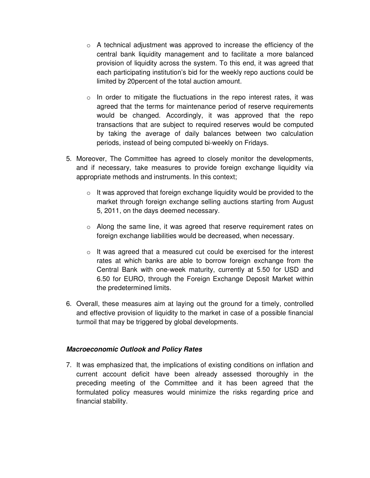- $\circ$  A technical adjustment was approved to increase the efficiency of the central bank liquidity management and to facilitate a more balanced provision of liquidity across the system. To this end, it was agreed that each participating institution's bid for the weekly repo auctions could be limited by 20percent of the total auction amount.
- $\circ$  In order to mitigate the fluctuations in the repo interest rates, it was agreed that the terms for maintenance period of reserve requirements would be changed. Accordingly, it was approved that the repo transactions that are subject to required reserves would be computed by taking the average of daily balances between two calculation periods, instead of being computed bi-weekly on Fridays.
- 5. Moreover, The Committee has agreed to closely monitor the developments, and if necessary, take measures to provide foreign exchange liquidity via appropriate methods and instruments. In this context;
	- $\circ$  It was approved that foreign exchange liquidity would be provided to the market through foreign exchange selling auctions starting from August 5, 2011, on the days deemed necessary.
	- $\circ$  Along the same line, it was agreed that reserve requirement rates on foreign exchange liabilities would be decreased, when necessary.
	- $\circ$  It was agreed that a measured cut could be exercised for the interest rates at which banks are able to borrow foreign exchange from the Central Bank with one-week maturity, currently at 5.50 for USD and 6.50 for EURO, through the Foreign Exchange Deposit Market within the predetermined limits.
- 6. Overall, these measures aim at laying out the ground for a timely, controlled and effective provision of liquidity to the market in case of a possible financial turmoil that may be triggered by global developments.

## **Macroeconomic Outlook and Policy Rates**

7. It was emphasized that, the implications of existing conditions on inflation and current account deficit have been already assessed thoroughly in the preceding meeting of the Committee and it has been agreed that the formulated policy measures would minimize the risks regarding price and financial stability.